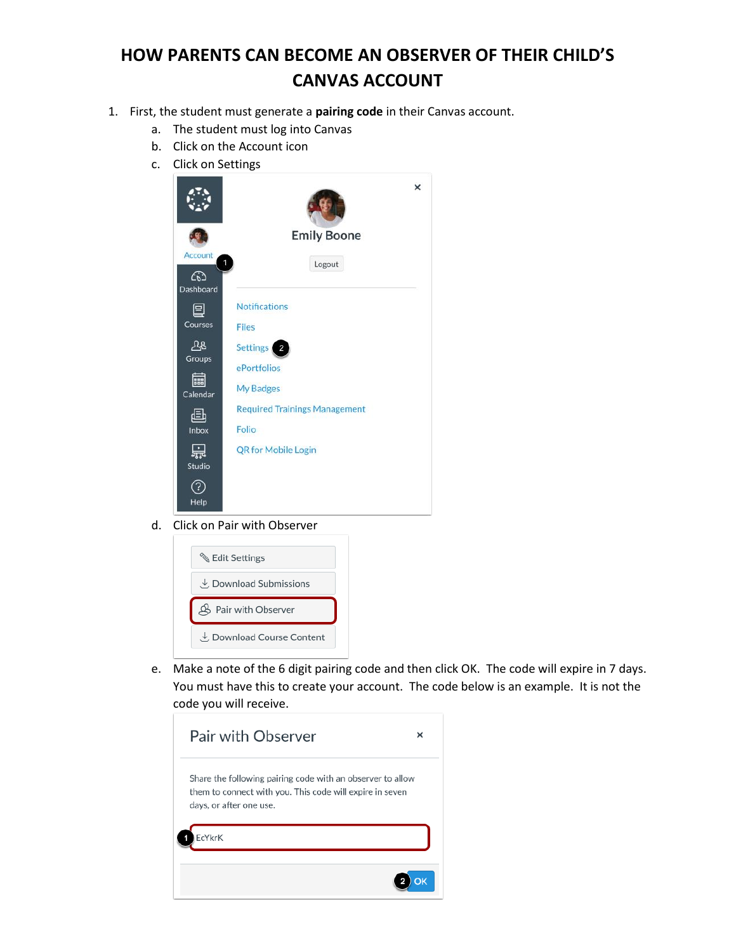## **HOW PARENTS CAN BECOME AN OBSERVER OF THEIR CHILD'S CANVAS ACCOUNT**

- 1. First, the student must generate a **pairing code** in their Canvas account.
	- a. The student must log into Canvas
	- b. Click on the Account icon
	- c. Click on Settings



d. Click on Pair with Observer



e. Make a note of the 6 digit pairing code and then click OK. The code will expire in 7 days. You must have this to create your account. The code below is an example. It is not the code you will receive.

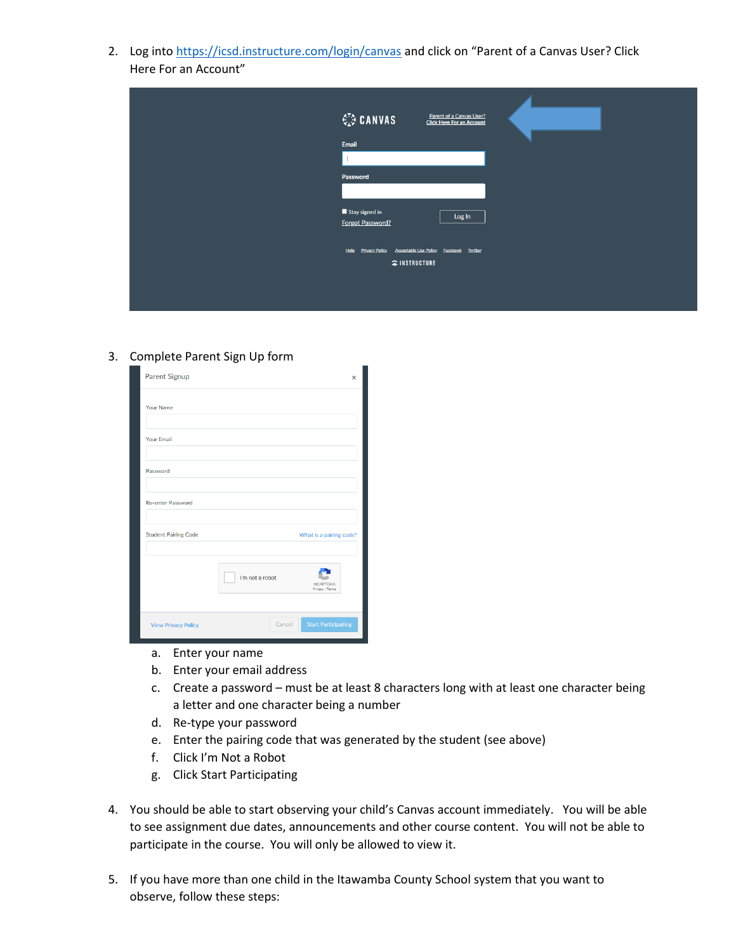2. Log int[o https://icsd.instructure.com/login/canvas](https://icsd.instructure.com/login/canvas) and click on "Parent of a Canvas User? Click Here For an Account"

| <b>CANVAS</b><br>Parent of a Canvas User?<br>Click Here For an Account<br>Email                                         |
|-------------------------------------------------------------------------------------------------------------------------|
| Password                                                                                                                |
| Stay signed in<br>Log In<br>Forgot Password?<br>Help Privacy Policy<br><b>Acceptable Use Policy Facebook</b><br>Twitter |
| SINSTRUCTURE                                                                                                            |

## 3. Complete Parent Sign Up form

| Parent Signup               |                 | $\times$                     |
|-----------------------------|-----------------|------------------------------|
| Your Name                   |                 |                              |
| <b>Your Email</b>           |                 |                              |
| Password                    |                 |                              |
| Re-enter Password           |                 |                              |
| <b>Student Pairing Code</b> |                 | What is a pairing code?      |
|                             | I'm not a robot | reCAPTCHA<br>Privacy - Terms |
| <b>View Privacy Policy</b>  | Cancel          | <b>Start Participating</b>   |

- a. Enter your name
- b. Enter your email address
- c. Create a password must be at least 8 characters long with at least one character being a letter and one character being a number
- d. Re-type your password
- e. Enter the pairing code that was generated by the student (see above)
- f. Click I'm Not a Robot
- g. Click Start Participating
- 4. You should be able to start observing your child's Canvas account immediately. You will be able to see assignment due dates, announcements and other course content. You will not be able to participate in the course. You will only be allowed to view it.
- 5. If you have more than one child in the Itawamba County School system that you want to observe, follow these steps: